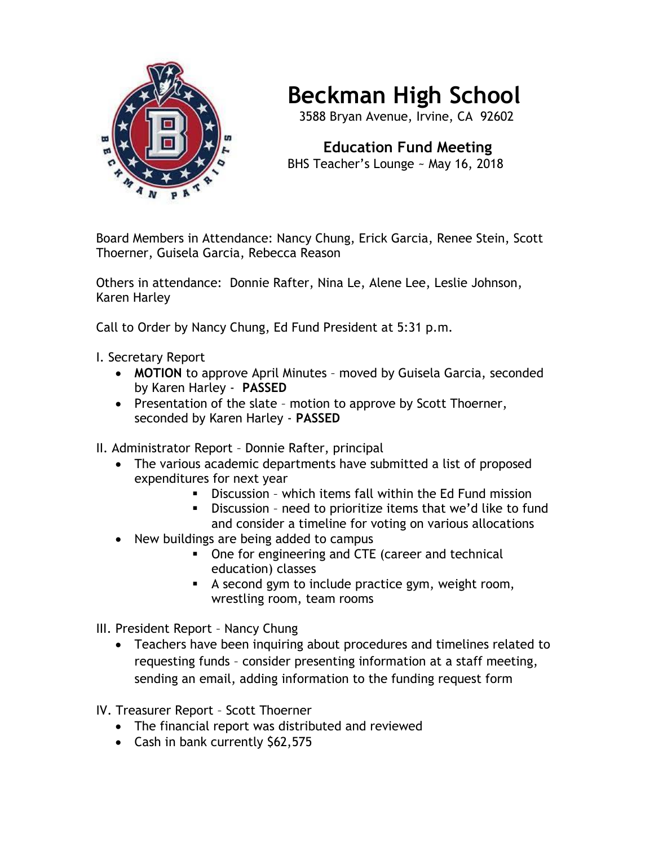

## **Beckman High School**

3588 Bryan Avenue, Irvine, CA 92602

 **Education Fund Meeting** BHS Teacher's Lounge ~ May 16, 2018

Board Members in Attendance: Nancy Chung, Erick Garcia, Renee Stein, Scott Thoerner, Guisela Garcia, Rebecca Reason

Others in attendance: Donnie Rafter, Nina Le, Alene Lee, Leslie Johnson, Karen Harley

Call to Order by Nancy Chung, Ed Fund President at 5:31 p.m.

- I. Secretary Report
	- **MOTION** to approve April Minutes moved by Guisela Garcia, seconded by Karen Harley - **PASSED**
	- Presentation of the slate motion to approve by Scott Thoerner, seconded by Karen Harley - **PASSED**

II. Administrator Report – Donnie Rafter, principal

- The various academic departments have submitted a list of proposed expenditures for next year
	- **•** Discussion which items fall within the Ed Fund mission
	- Discussion need to prioritize items that we'd like to fund and consider a timeline for voting on various allocations
- New buildings are being added to campus
	- **•** One for engineering and CTE (career and technical education) classes
	- A second gym to include practice gym, weight room, wrestling room, team rooms

III. President Report – Nancy Chung

- Teachers have been inquiring about procedures and timelines related to requesting funds – consider presenting information at a staff meeting, sending an email, adding information to the funding request form
- IV. Treasurer Report Scott Thoerner
	- The financial report was distributed and reviewed
	- Cash in bank currently \$62,575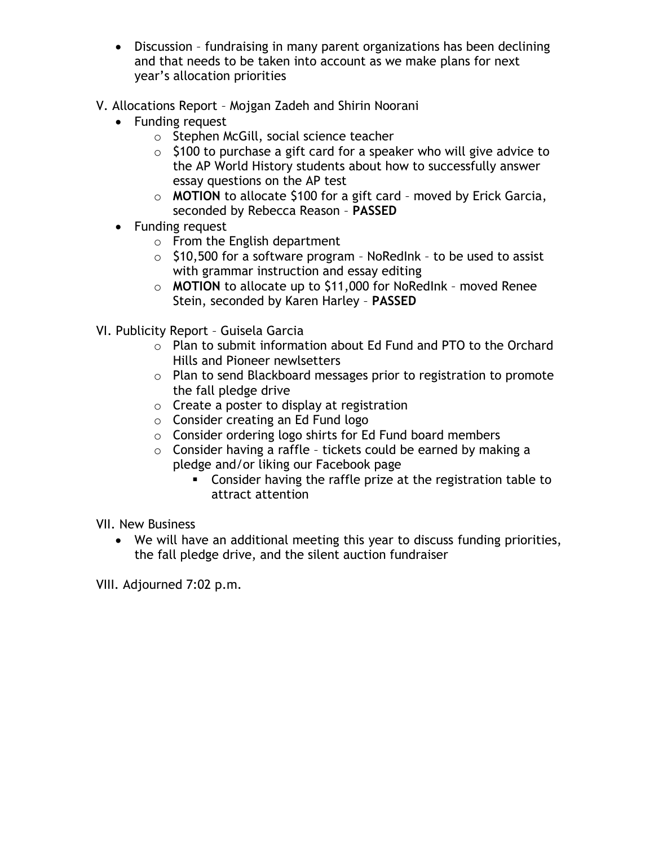- Discussion fundraising in many parent organizations has been declining and that needs to be taken into account as we make plans for next year's allocation priorities
- V. Allocations Report Mojgan Zadeh and Shirin Noorani
	- Funding request
		- o Stephen McGill, social science teacher
		- $\circ$  \$100 to purchase a gift card for a speaker who will give advice to the AP World History students about how to successfully answer essay questions on the AP test
		- o **MOTION** to allocate \$100 for a gift card moved by Erick Garcia, seconded by Rebecca Reason – **PASSED**
	- Funding request
		- $\circ$  From the English department
		- $\circ$  \$10,500 for a software program NoRedlnk to be used to assist with grammar instruction and essay editing
		- o **MOTION** to allocate up to \$11,000 for NoRedInk moved Renee Stein, seconded by Karen Harley – **PASSED**
- VI. Publicity Report Guisela Garcia
	- o Plan to submit information about Ed Fund and PTO to the Orchard Hills and Pioneer newlsetters
	- o Plan to send Blackboard messages prior to registration to promote the fall pledge drive
	- o Create a poster to display at registration
	- o Consider creating an Ed Fund logo
	- o Consider ordering logo shirts for Ed Fund board members
	- $\circ$  Consider having a raffle tickets could be earned by making a pledge and/or liking our Facebook page
		- **Consider having the raffle prize at the registration table to** attract attention

VII. New Business

 We will have an additional meeting this year to discuss funding priorities, the fall pledge drive, and the silent auction fundraiser

VIII. Adjourned 7:02 p.m.